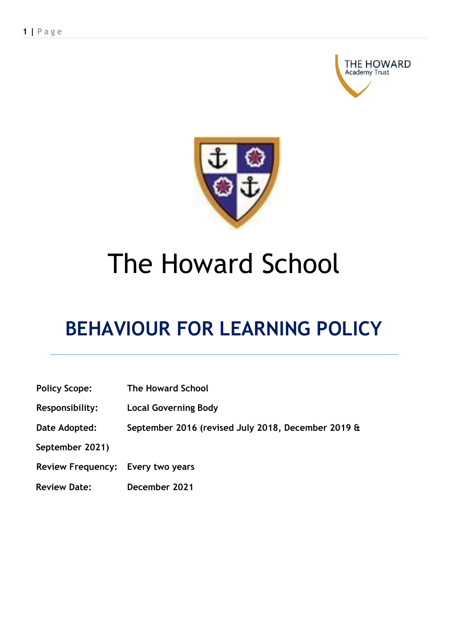



# The Howard School

# **BEHAVIOUR FOR LEARNING POLICY**

| <b>Policy Scope:</b>              | <b>The Howard School</b>                           |
|-----------------------------------|----------------------------------------------------|
| Responsibility:                   | <b>Local Governing Body</b>                        |
| Date Adopted:                     | September 2016 (revised July 2018, December 2019 & |
| September 2021)                   |                                                    |
| Review Frequency: Every two years |                                                    |
| <b>Review Date:</b>               | December 2021                                      |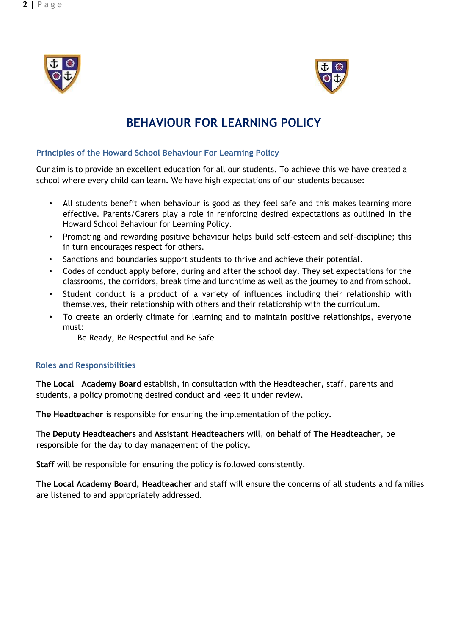



# **BEHAVIOUR FOR LEARNING POLICY**

#### **Principles of the Howard School Behaviour For Learning Policy**

Our aim is to provide an excellent education for all our students. To achieve this we have created a school where every child can learn. We have high expectations of our students because:

- All students benefit when behaviour is good as they feel safe and this makes learning more effective. Parents/Carers play a role in reinforcing desired expectations as outlined in the Howard School Behaviour for Learning Policy.
- Promoting and rewarding positive behaviour helps build self-esteem and self-discipline; this in turn encourages respect for others.
- Sanctions and boundaries support students to thrive and achieve their potential.
- Codes of conduct apply before, during and after the school day. They set expectations for the classrooms, the corridors, break time and lunchtime as well as the journey to and from school.
- Student conduct is a product of a variety of influences including their relationship with themselves, their relationship with others and their relationship with the curriculum.
- To create an orderly climate for learning and to maintain positive relationships, everyone must:

Be Ready, Be Respectful and Be Safe

#### **Roles and Responsibilities**

**The Local Academy Board** establish, in consultation with the Headteacher, staff, parents and students, a policy promoting desired conduct and keep it under review.

**The Headteacher** is responsible for ensuring the implementation of the policy.

The **Deputy Headteachers** and **Assistant Headteachers** will, on behalf of **The Headteacher**, be responsible for the day to day management of the policy.

**Staff** will be responsible for ensuring the policy is followed consistently.

**The Local Academy Board, Headteacher** and staff will ensure the concerns of all students and families are listened to and appropriately addressed.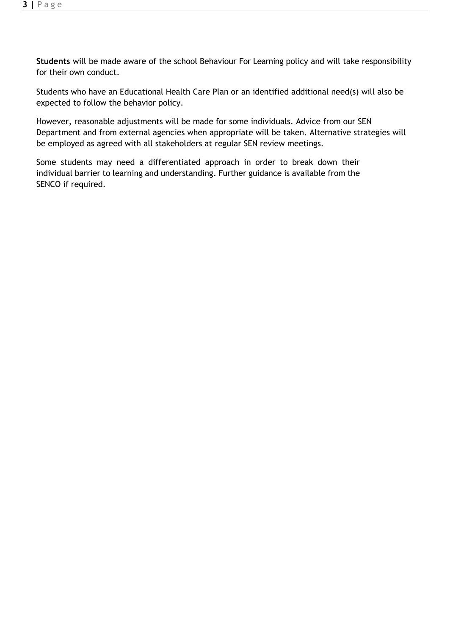**Students** will be made aware of the school Behaviour For Learning policy and will take responsibility for their own conduct.

Students who have an Educational Health Care Plan or an identified additional need(s) will also be expected to follow the behavior policy.

However, reasonable adjustments will be made for some individuals. Advice from our SEN Department and from external agencies when appropriate will be taken. Alternative strategies will be employed as agreed with all stakeholders at regular SEN review meetings.

Some students may need a differentiated approach in order to break down their individual barrier to learning and understanding. Further guidance is available from the SENCO if required.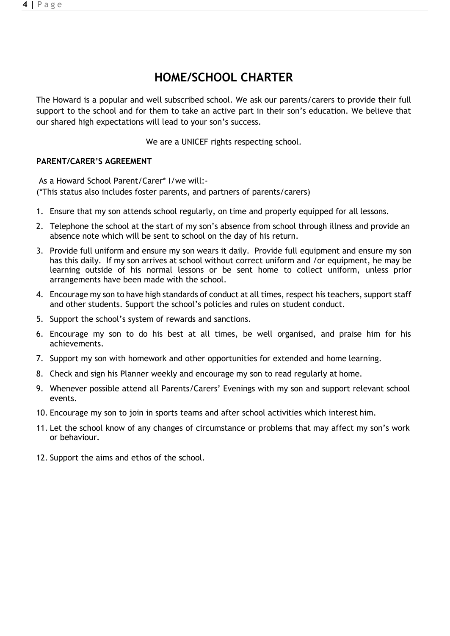# **HOME/SCHOOL CHARTER**

The Howard is a popular and well subscribed school. We ask our parents/carers to provide their full support to the school and for them to take an active part in their son's education. We believe that our shared high expectations will lead to your son's success.

We are a UNICEF rights respecting school.

#### **PARENT/CARER'S AGREEMENT**

As a Howard School Parent/Carer\* I/we will:- (\*This status also includes foster parents, and partners of parents/carers)

- 1. Ensure that my son attends school regularly, on time and properly equipped for all lessons.
- 2. Telephone the school at the start of my son's absence from school through illness and provide an absence note which will be sent to school on the day of his return.
- 3. Provide full uniform and ensure my son wears it daily. Provide full equipment and ensure my son has this daily. If my son arrives at school without correct uniform and /or equipment, he may be learning outside of his normal lessons or be sent home to collect uniform, unless prior arrangements have been made with the school.
- 4. Encourage my son to have high standards of conduct at all times, respect his teachers, support staff and other students. Support the school's policies and rules on student conduct.
- 5. Support the school's system of rewards and sanctions.
- 6. Encourage my son to do his best at all times, be well organised, and praise him for his achievements.
- 7. Support my son with homework and other opportunities for extended and home learning.
- 8. Check and sign his Planner weekly and encourage my son to read regularly at home.
- 9. Whenever possible attend all Parents/Carers' Evenings with my son and support relevant school events.
- 10. Encourage my son to join in sports teams and after school activities which interest him.
- 11. Let the school know of any changes of circumstance or problems that may affect my son's work or behaviour.
- 12. Support the aims and ethos of the school.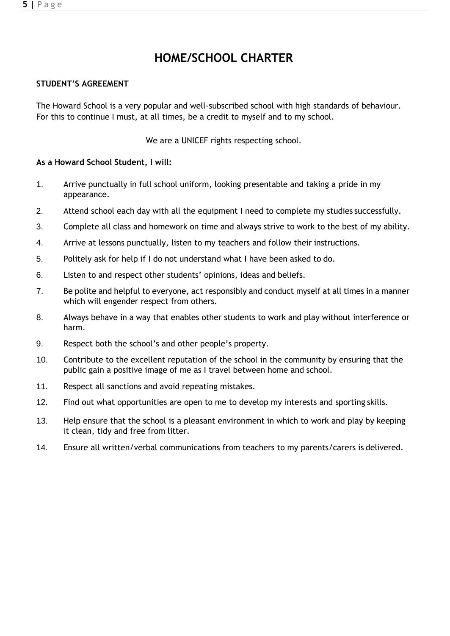**5 |** P a g e

# **HOME/SCHOOL CHARTER**

#### **STUDENT'S AGREEMENT**

The Howard School is a very popular and well-subscribed school with high standards of behaviour. For this to continue I must, at all times, be a credit to myself and to my school.

We are a UNICEF rights respecting school.

#### **As a Howard School Student, I will:**

- 1. Arrive punctually in full school uniform, looking presentable and taking a pride in my appearance.
- 2. Attend school each day with all the equipment I need to complete my studies successfully.
- 3. Complete all class and homework on time and always strive to work to the best of my ability.
- 4. Arrive at lessons punctually, listen to my teachers and follow their instructions.
- 5. Politely ask for help if I do not understand what I have been asked to do.
- 6. Listen to and respect other students' opinions, ideas and beliefs.
- 7. Be polite and helpful to everyone, act responsibly and conduct myself at all times in a manner which will engender respect from others.
- 8. Always behave in a way that enables other students to work and play without interference or harm.
- 9. Respect both the school's and other people's property.
- 10. Contribute to the excellent reputation of the school in the community by ensuring that the public gain a positive image of me as I travel between home and school.
- 11. Respect all sanctions and avoid repeating mistakes.
- 12. Find out what opportunities are open to me to develop my interests and sporting skills.
- 13. Help ensure that the school is a pleasant environment in which to work and play by keeping it clean, tidy and free from litter.
- 14. Ensure all written/verbal communications from teachers to my parents/carers is delivered.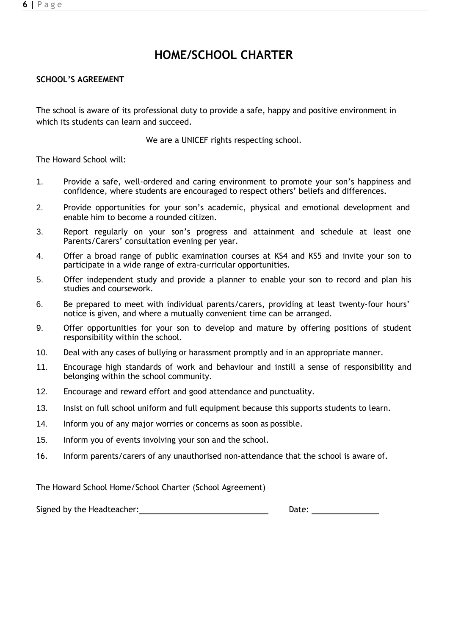#### **6 |** P a g e

## **HOME/SCHOOL CHARTER**

#### **SCHOOL'S AGREEMENT**

The school is aware of its professional duty to provide a safe, happy and positive environment in which its students can learn and succeed.

We are a UNICEF rights respecting school.

The Howard School will:

- 1. Provide a safe, well-ordered and caring environment to promote your son's happiness and confidence, where students are encouraged to respect others' beliefs and differences.
- 2. Provide opportunities for your son's academic, physical and emotional development and enable him to become a rounded citizen.
- 3. Report regularly on your son's progress and attainment and schedule at least one Parents/Carers' consultation evening per year.
- 4. Offer a broad range of public examination courses at KS4 and KS5 and invite your son to participate in a wide range of extra-curricular opportunities.
- 5. Offer independent study and provide a planner to enable your son to record and plan his studies and coursework.
- 6. Be prepared to meet with individual parents/carers, providing at least twenty-four hours' notice is given, and where a mutually convenient time can be arranged.
- 9. Offer opportunities for your son to develop and mature by offering positions of student responsibility within the school.
- 10. Deal with any cases of bullying or harassment promptly and in an appropriate manner.
- 11. Encourage high standards of work and behaviour and instill a sense of responsibility and belonging within the school community.
- 12. Encourage and reward effort and good attendance and punctuality.
- 13. Insist on full school uniform and full equipment because this supports students to learn.
- 14. Inform you of any major worries or concerns as soon as possible.
- 15. Inform you of events involving your son and the school.
- 16. Inform parents/carers of any unauthorised non-attendance that the school is aware of.

The Howard School Home/School Charter (School Agreement)

Signed by the Headteacher: <u>Date: Date: Date: Date: Date: Date: Date: Date: Date: Date: Date: Date: Date: Date: Date: Date: Date: Date: Date: Date: Date: Date: Date: Date: Date: Date: Date: Date: Date: Date: Date: Date: Da</u>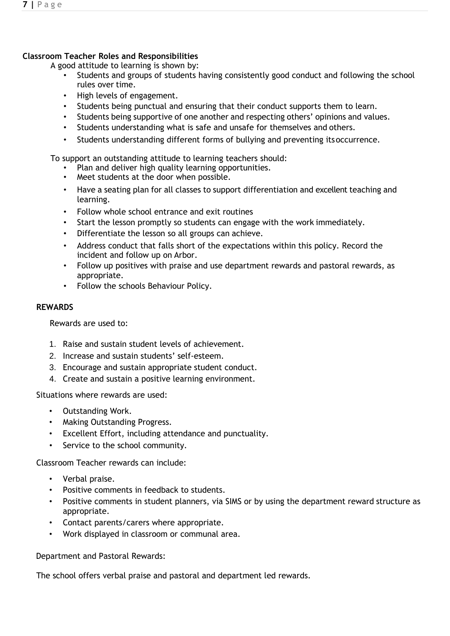#### **Classroom Teacher Roles and Responsibilities**

A good attitude to learning is shown by:

- Students and groups of students having consistently good conduct and following the school rules over time.
- High levels of engagement.
- Students being punctual and ensuring that their conduct supports them to learn.
- Students being supportive of one another and respecting others' opinions and values.
- Students understanding what is safe and unsafe for themselves and others.
- Students understanding different forms of bullying and preventing itsoccurrence.

To support an outstanding attitude to learning teachers should:

- Plan and deliver high quality learning opportunities.
- Meet students at the door when possible.
- Have a seating plan for all classes to support differentiation and excellent teaching and learning.
- Follow whole school entrance and exit routines
- Start the lesson promptly so students can engage with the work immediately.
- Differentiate the lesson so all groups can achieve.
- Address conduct that falls short of the expectations within this policy. Record the incident and follow up on Arbor.
- Follow up positives with praise and use department rewards and pastoral rewards, as appropriate.
- Follow the schools Behaviour Policy.

#### **REWARDS**

Rewards are used to:

- 1. Raise and sustain student levels of achievement.
- 2. Increase and sustain students' self-esteem.
- 3. Encourage and sustain appropriate student conduct.
- 4. Create and sustain a positive learning environment.

Situations where rewards are used:

- Outstanding Work.
- Making Outstanding Progress.
- Excellent Effort, including attendance and punctuality.
- Service to the school community.

Classroom Teacher rewards can include:

- Verbal praise.
- Positive comments in feedback to students.
- Positive comments in student planners, via SIMS or by using the department reward structure as appropriate.
- Contact parents/carers where appropriate.
- Work displayed in classroom or communal area.

Department and Pastoral Rewards:

The school offers verbal praise and pastoral and department led rewards.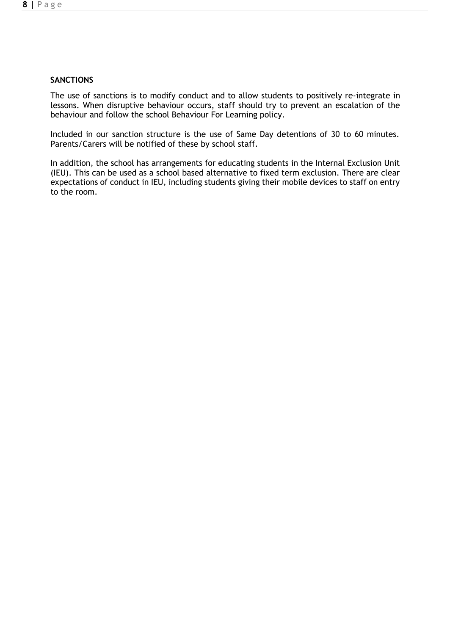#### **SANCTIONS**

The use of sanctions is to modify conduct and to allow students to positively re-integrate in lessons. When disruptive behaviour occurs, staff should try to prevent an escalation of the behaviour and follow the school Behaviour For Learning policy.

Included in our sanction structure is the use of Same Day detentions of 30 to 60 minutes. Parents/Carers will be notified of these by school staff.

In addition, the school has arrangements for educating students in the Internal Exclusion Unit (IEU). This can be used as a school based alternative to fixed term exclusion. There are clear expectations of conduct in IEU, including students giving their mobile devices to staff on entry to the room.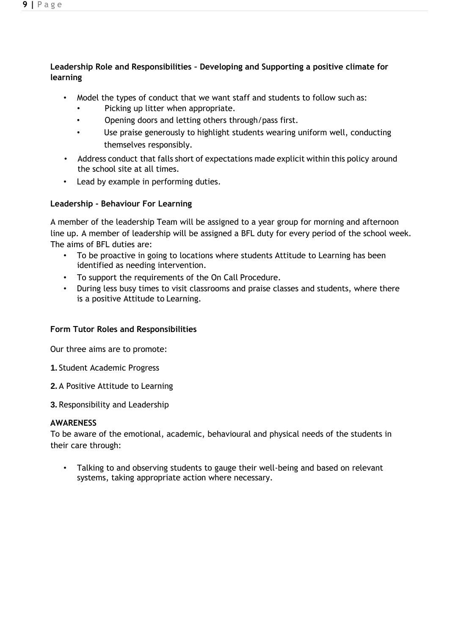#### **Leadership Role and Responsibilities – Developing and Supporting a positive climate for learning**

- Model the types of conduct that we want staff and students to follow such as:
	- Picking up litter when appropriate.
	- Opening doors and letting others through/pass first.
	- Use praise generously to highlight students wearing uniform well, conducting themselves responsibly.
- Address conduct that falls short of expectations made explicit within this policy around the school site at all times.
- Lead by example in performing duties.

#### **Leadership - Behaviour For Learning**

A member of the leadership Team will be assigned to a year group for morning and afternoon line up. A member of leadership will be assigned a BFL duty for every period of the school week. The aims of BFL duties are:

- To be proactive in going to locations where students Attitude to Learning has been identified as needing intervention.
- To support the requirements of the On Call Procedure.
- During less busy times to visit classrooms and praise classes and students, where there is a positive Attitude to Learning.

#### **Form Tutor Roles and Responsibilities**

Our three aims are to promote:

- **1.** Student Academic Progress
- **2.** A Positive Attitude to Learning
- **3.** Responsibility and Leadership

#### **AWARENESS**

To be aware of the emotional, academic, behavioural and physical needs of the students in their care through:

• Talking to and observing students to gauge their well-being and based on relevant systems, taking appropriate action where necessary.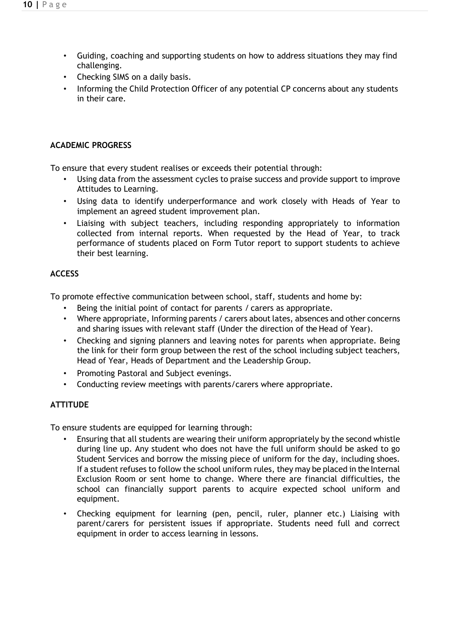- Guiding, coaching and supporting students on how to address situations they may find challenging.
- Checking SIMS on a daily basis.
- Informing the Child Protection Officer of any potential CP concerns about any students in their care.

#### **ACADEMIC PROGRESS**

To ensure that every student realises or exceeds their potential through:

- Using data from the assessment cycles to praise success and provide support to improve Attitudes to Learning.
- Using data to identify underperformance and work closely with Heads of Year to implement an agreed student improvement plan.
- Liaising with subject teachers, including responding appropriately to information collected from internal reports. When requested by the Head of Year, to track performance of students placed on Form Tutor report to support students to achieve their best learning.

#### **ACCESS**

To promote effective communication between school, staff, students and home by:

- Being the initial point of contact for parents / carers as appropriate.
- Where appropriate, Informing parents / carers about lates, absences and other concerns and sharing issues with relevant staff (Under the direction of the Head of Year).
- Checking and signing planners and leaving notes for parents when appropriate. Being the link for their form group between the rest of the school including subject teachers, Head of Year, Heads of Department and the Leadership Group.
- Promoting Pastoral and Subject evenings.
- Conducting review meetings with parents/carers where appropriate.

#### **ATTITUDE**

To ensure students are equipped for learning through:

- Ensuring that all students are wearing their uniform appropriately by the second whistle during line up. Any student who does not have the full uniform should be asked to go Student Services and borrow the missing piece of uniform for the day, including shoes. If a student refuses to follow the school uniform rules, they may be placed in the Internal Exclusion Room or sent home to change. Where there are financial difficulties, the school can financially support parents to acquire expected school uniform and equipment.
- Checking equipment for learning (pen, pencil, ruler, planner etc.) Liaising with parent/carers for persistent issues if appropriate. Students need full and correct equipment in order to access learning in lessons.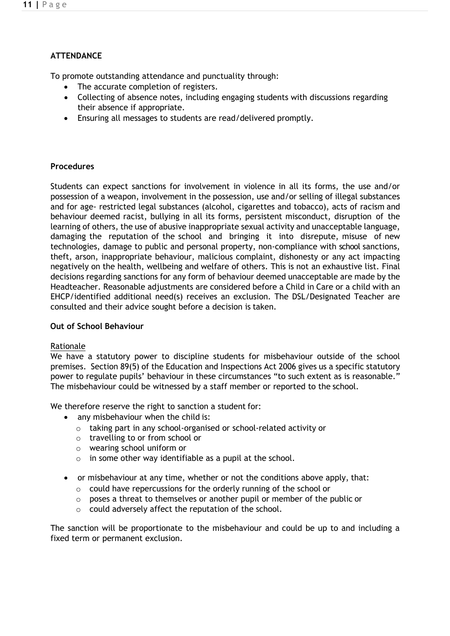### **ATTENDANCE**

To promote outstanding attendance and punctuality through:

- The accurate completion of registers.
- Collecting of absence notes, including engaging students with discussions regarding their absence if appropriate.
- Ensuring all messages to students are read/delivered promptly.

#### **Procedures**

Students can expect sanctions for involvement in violence in all its forms, the use and/or possession of a weapon, involvement in the possession, use and/or selling of illegal substances and for age- restricted legal substances (alcohol, cigarettes and tobacco), acts of racism and behaviour deemed racist, bullying in all its forms, persistent misconduct, disruption of the learning of others, the use of abusive inappropriate sexual activity and unacceptable language, damaging the reputation of the school and bringing it into disrepute, misuse of new technologies, damage to public and personal property, non-compliance with school sanctions, theft, arson, inappropriate behaviour, malicious complaint, dishonesty or any act impacting negatively on the health, wellbeing and welfare of others. This is not an exhaustive list. Final decisions regarding sanctions for any form of behaviour deemed unacceptable are made by the Headteacher. Reasonable adjustments are considered before a Child in Care or a child with an EHCP/identified additional need(s) receives an exclusion. The DSL/Designated Teacher are consulted and their advice sought before a decision is taken.

#### **Out of School Behaviour**

#### Rationale

We have a statutory power to discipline students for misbehaviour outside of the school premises. Section 89(5) of the Education and Inspections Act 2006 gives us a specific statutory power to regulate pupils' behaviour in these circumstances "to such extent as is reasonable." The misbehaviour could be witnessed by a staff member or reported to the school.

We therefore reserve the right to sanction a student for:

- any misbehaviour when the child is:
	- o taking part in any school-organised or school-related activity or
	- o travelling to or from school or
	- o wearing school uniform or
	- $\circ$  in some other way identifiable as a pupil at the school.
- or misbehaviour at any time, whether or not the conditions above apply, that:
	- o could have repercussions for the orderly running of the school or
	- o poses a threat to themselves or another pupil or member of the public or
	- o could adversely affect the reputation of the school.

The sanction will be proportionate to the misbehaviour and could be up to and including a fixed term or permanent exclusion.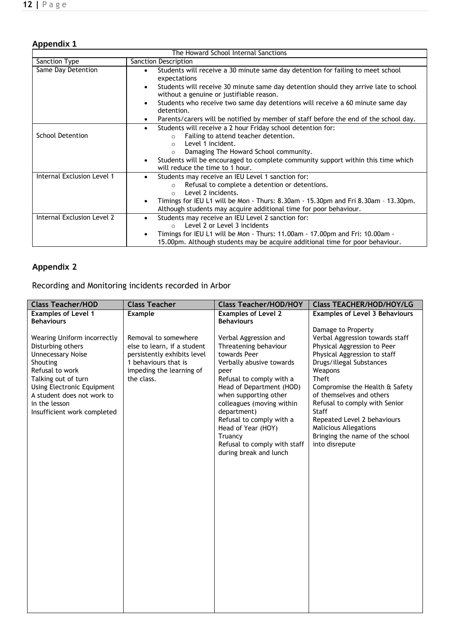# **Appendix 1**

| The Howard School Internal Sanctions |                                                                                                                                                                            |  |  |  |
|--------------------------------------|----------------------------------------------------------------------------------------------------------------------------------------------------------------------------|--|--|--|
| Sanction Type                        | Sanction Description                                                                                                                                                       |  |  |  |
| Same Day Detention                   | Students will receive a 30 minute same day detention for failing to meet school<br>$\bullet$<br>expectations                                                               |  |  |  |
|                                      | Students will receive 30 minute same day detention should they arrive late to school<br>$\bullet$<br>without a genuine or justifiable reason.                              |  |  |  |
|                                      | Students who receive two same day detentions will receive a 60 minute same day<br>$\bullet$<br>detention.                                                                  |  |  |  |
|                                      | Parents/carers will be notified by member of staff before the end of the school day.<br>$\bullet$                                                                          |  |  |  |
| <b>School Detention</b>              | Students will receive a 2 hour Friday school detention for:<br>$\bullet$<br>Failing to attend teacher detention.<br>$\Omega$                                               |  |  |  |
|                                      | Level 1 incident.<br>$\bigcap$<br>Damaging The Howard School community.<br>$\Omega$                                                                                        |  |  |  |
|                                      | Students will be encouraged to complete community support within this time which<br>$\bullet$<br>will reduce the time to 1 hour.                                           |  |  |  |
| Internal Exclusion Level 1           | Students may receive an IEU Level 1 sanction for:<br>$\bullet$<br>Refusal to complete a detention or detentions.<br>$\Omega$<br>Level 2 incidents.<br>$\bigcap$            |  |  |  |
|                                      | Timings for IEU L1 will be Mon - Thurs: 8.30am - 15.30pm and Fri 8.30am - 13.30pm.<br>$\bullet$<br>Although students may acquire additional time for poor behaviour.       |  |  |  |
| Internal Exclusion Level 2           | Students may receive an IEU Level 2 sanction for:<br>$\bullet$<br>Level 2 or Level 3 incidents                                                                             |  |  |  |
|                                      | Timings for IEU L1 will be Mon - Thurs: 11.00am - 17.00pm and Fri: 10.00am -<br>$\bullet$<br>15.00pm. Although students may be acquire additional time for poor behaviour. |  |  |  |

### **Appendix 2**

Recording and Monitoring incidents recorded in Arbor

| <b>Class Teacher/HOD</b>                                                                                                                                                                                                                       | <b>Class Teacher</b>                                                                                                                                 | <b>Class Teacher/HOD/HOY</b>                                                                                                                                                                                                                                                                                                                           | <b>Class TEACHER/HOD/HOY/LG</b>                                                                                                                                                                                                                                                                                                                                                                         |
|------------------------------------------------------------------------------------------------------------------------------------------------------------------------------------------------------------------------------------------------|------------------------------------------------------------------------------------------------------------------------------------------------------|--------------------------------------------------------------------------------------------------------------------------------------------------------------------------------------------------------------------------------------------------------------------------------------------------------------------------------------------------------|---------------------------------------------------------------------------------------------------------------------------------------------------------------------------------------------------------------------------------------------------------------------------------------------------------------------------------------------------------------------------------------------------------|
| <b>Examples of Level 1</b><br><b>Behaviours</b>                                                                                                                                                                                                | Example                                                                                                                                              | <b>Examples of Level 2</b><br><b>Behaviours</b>                                                                                                                                                                                                                                                                                                        | <b>Examples of Level 3 Behaviours</b>                                                                                                                                                                                                                                                                                                                                                                   |
| Wearing Uniform incorrectly<br>Disturbing others<br><b>Unnecessary Noise</b><br>Shouting<br>Refusal to work<br>Talking out of turn<br>Using Electronic Equipment<br>A student does not work to<br>in the lesson<br>Insufficient work completed | Removal to somewhere<br>else to learn, if a student<br>persistently exhibits level<br>1 behaviours that is<br>impeding the learning of<br>the class. | Verbal Aggression and<br>Threatening behaviour<br>towards Peer<br>Verbally abusive towards<br>peer<br>Refusal to comply with a<br>Head of Department (HOD)<br>when supporting other<br>colleagues (moving within<br>department)<br>Refusal to comply with a<br>Head of Year (HOY)<br>Truancy<br>Refusal to comply with staff<br>during break and lunch | Damage to Property<br>Verbal Aggression towards staff<br>Physical Aggression to Peer<br>Physical Aggression to staff<br>Drugs/illegal Substances<br>Weapons<br><b>Theft</b><br>Compromise the Health & Safety<br>of themselves and others<br>Refusal to comply with Senior<br>Staff<br>Repeated Level 2 behaviours<br><b>Malicious Allegations</b><br>Bringing the name of the school<br>into disrepute |